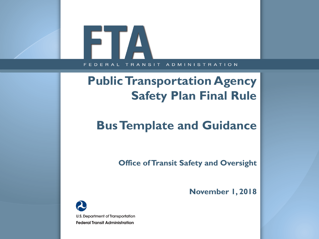# FILA FEDERAL TRANSIT **ADMINISTRATION**

# **Public Transportation Agency Safety Plan Final Rule**

# **Bus Template and Guidance**

**Office of Transit Safety and Oversight**

**November 1, 2018**

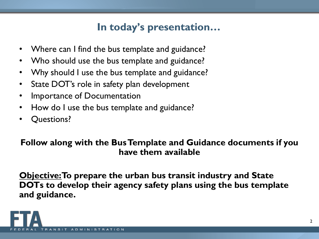## **In today's presentation…**

- Where can I find the bus template and guidance?
- Who should use the bus template and guidance?
- Why should I use the bus template and guidance?
- State DOT's role in safety plan development
- Importance of Documentation
- How do I use the bus template and guidance?
- Questions?

### **Follow along with the Bus Template and Guidance documents if you have them available**

**Objective: To prepare the urban bus transit industry and State DOTs to develop their agency safety plans using the bus template and guidance.**

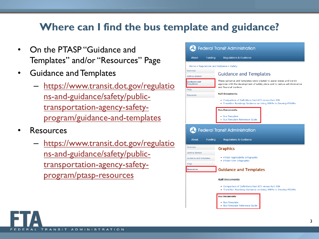## **Where can I find the bus template and guidance?**

- On the PTASP "Guidance and Templates" and/or "Resources" Page
- Guidance and Templates
	- https://www.transit.dot.gov/regulatio ns-and-guidance/safety/publictransportation-agency-safety[program/guidance-and-templates](https://www.transit.dot.gov/regulations-and-guidance/safety/public-transportation-agency-safety-program/guidance-and-templates)
- Resources
	- [https://www.transit.dot.gov/regulatio](https://www.transit.dot.gov/regulations-and-guidance/safety/public-transportation-agency-safety-program/ptasp-resources) ns-and-guidance/safety/publictransportation-agency-safetyprogram/ptasp-resources

|                                                 | <b>20</b> Federal Transit Administration |                                                                                                                                                                                |  |  |  |  |  |
|-------------------------------------------------|------------------------------------------|--------------------------------------------------------------------------------------------------------------------------------------------------------------------------------|--|--|--|--|--|
| <b>About</b>                                    | <b>Funding</b>                           | <b>Regulations &amp; Guidance</b>                                                                                                                                              |  |  |  |  |  |
|                                                 |                                          | Home » Regulations and Guidance » Safety                                                                                                                                       |  |  |  |  |  |
| Overview<br><b>Getting Started</b>              |                                          | <b>Guidance and Templates</b>                                                                                                                                                  |  |  |  |  |  |
| <b>Guidance and</b><br><b>Templates</b><br>FAQs |                                          | These guidance and templates were created to assist states and transit<br>agencies with the development of safety plans and to reduce administrative<br>and financial burdens. |  |  |  |  |  |
| <b>Resources</b>                                |                                          | <b>Rail Documents</b>                                                                                                                                                          |  |  |  |  |  |
|                                                 |                                          | . Comparison of Definitions Part 673 versus Part 659<br>. Transition Roadmap Guidance on Using SSPPs to Develop PTASPs                                                         |  |  |  |  |  |
|                                                 |                                          | <b>Bus Documents</b>                                                                                                                                                           |  |  |  |  |  |
|                                                 |                                          | • Bus Template<br><b>Bus Template Reference Guide</b>                                                                                                                          |  |  |  |  |  |
|                                                 |                                          | <b>20 Federal Transit Administration</b>                                                                                                                                       |  |  |  |  |  |
| <b>About</b>                                    | <b>Funding</b>                           | <b>Regulations &amp; Guidance</b>                                                                                                                                              |  |  |  |  |  |
| Overview<br><b>Getting Started</b>              |                                          | <b>Graphics</b>                                                                                                                                                                |  |  |  |  |  |
| <b>Guidance and Templates</b><br>FAQs           |                                          | · PTASP Applicability Infographic<br>· PTASP-TAM Infographic                                                                                                                   |  |  |  |  |  |
| <b>Resources</b>                                |                                          | <b>Guidance and Templates</b>                                                                                                                                                  |  |  |  |  |  |
|                                                 |                                          | <b>Rail Documents</b>                                                                                                                                                          |  |  |  |  |  |
|                                                 |                                          | . Comparison of Definitions Part 673 versus Part 659                                                                                                                           |  |  |  |  |  |
|                                                 |                                          | • Transition Roadmap Guidance on Using SSPPs to Develop PTASPs                                                                                                                 |  |  |  |  |  |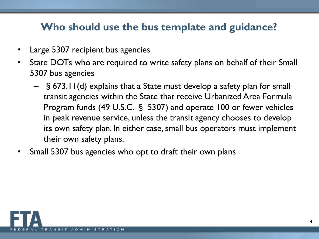## **Who should use the bus template and guidance?**

- Large 5307 recipient bus agencies
- State DOTs who are required to write safety plans on behalf of their Small 5307 bus agencies
	- §673.11(d) explains that a State must develop a safety plan for small transit agencies within the State that receive Urbanized Area Formula Program funds (49 U.S.C. § 5307) and operate 100 or fewer vehicles in peak revenue service, unless the transit agency chooses to develop its own safety plan. In either case, small bus operators must implement their own safety plans.
- Small 5307 bus agencies who opt to draft their own plans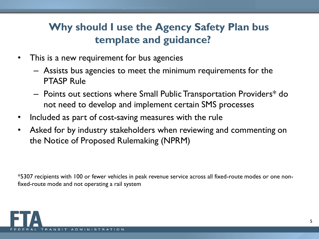# **Why should I use the Agency Safety Plan bus template and guidance?**

- This is a new requirement for bus agencies
	- Assists bus agencies to meet the minimum requirements for the PTASP Rule
	- Points out sections where Small Public Transportation Providers\* do not need to develop and implement certain SMS processes
- Included as part of cost-saving measures with the rule
- Asked for by industry stakeholders when reviewing and commenting on the Notice of Proposed Rulemaking (NPRM)

\*5307 recipients with 100 or fewer vehicles in peak revenue service across all fixed-route modes or one nonfixed-route mode and not operating a rail system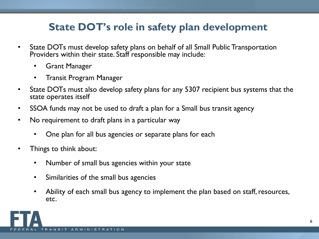## **State DOT's role in safety plan development**

- State DOTs must develop safety plans on behalf of all Small Public Transportation Providers within their state. Staff responsible may include:
	- Grant Manager
	- Transit Program Manager
- State DOTs must also develop safety plans for any 5307 recipient bus systems that the state operates itself
- SSOA funds may not be used to draft a plan for a Small bus transit agency
- No requirement to draft plans in a particular way
	- One plan for all bus agencies or separate plans for each
- Things to think about:
	- Number of small bus agencies within your state
	- Similarities of the small bus agencies
	- Ability of each small bus agency to implement the plan based on staff, resources, etc.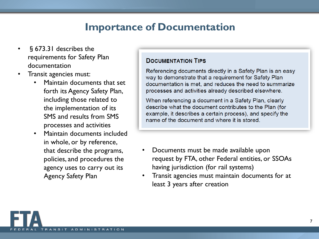## **Importance of Documentation**

- §673.31 describes the requirements for Safety Plan documentation
- Transit agencies must:
	- Maintain documents that set forth its Agency Safety Plan, including those related to the implementation of its SMS and results from SMS processes and activities
	- Maintain documents included in whole, or by reference, that describe the programs, policies, and procedures the agency uses to carry out its Agency Safety Plan

### **DOCUMENTATION TIPS**

Referencing documents directly in a Safety Plan is an easy way to demonstrate that a requirement for Safety Plan documentation is met, and reduces the need to summarize processes and activities already described elsewhere.

When referencing a document in a Safety Plan, clearly describe what the document contributes to the Plan (for example, it describes a certain process), and specify the name of the document and where it is stored.

- Documents must be made available upon request by FTA, other Federal entities, or SSOAs having jurisdiction (for rail systems)
- Transit agencies must maintain documents for at least 3 years after creation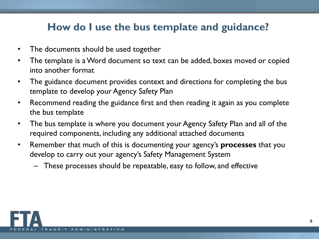## **How do I use the bus template and guidance?**

- The documents should be used together
- The template is a Word document so text can be added, boxes moved or copied into another format
- The guidance document provides context and directions for completing the bus template to develop your Agency Safety Plan
- Recommend reading the guidance first and then reading it again as you complete the bus template
- The bus template is where you document your Agency Safety Plan and all of the required components, including any additional attached documents
- Remember that much of this is documenting your agency's **processes** that you develop to carry out your agency's Safety Management System
	- These processes should be repeatable, easy to follow, and effective

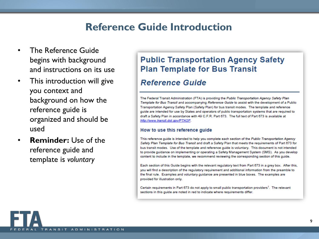## **Reference Guide Introduction**

- The Reference Guide begins with background and instructions on its use
- This introduction will give you context and background on how the reference guide is organized and should be used
- **Reminder:** Use of the reference guide and template is *voluntary*

### **Public Transportation Agency Safety Plan Template for Bus Transit**

### **Reference Guide**

The Federal Transit Administration (FTA) is providing the Public Transportation Agency Safety Plan Template for Bus Transit and accompanying Reference Guide to assist with the development of a Public Transportation Agency Safety Plan (Safety Plan) for bus transit modes. The template and reference guide are intended for use by States and operators of public transportation systems that are required to draft a Safety Plan in accordance with 49 C.F.R. Part 673. The full text of Part 673 is available at http://www.transit.dot.gov/PTASP.

### How to use this reference guide

This reference guide is intended to help you complete each section of the Public Transportation Agency Safety Plan Template for Bus Transit and draft a Safety Plan that meets the requirements of Part 673 for bus transit modes. Use of the template and reference guide is voluntary. This document is not intended to provide guidance on implementing or operating a Safety Management System (SMS). As you develop content to include in the template, we recommend reviewing the corresponding section of this guide.

Each section of this Guide begins with the relevant regulatory text from Part 673 in a grey box. After this, you will find a description of the regulatory requirement and additional information from the preamble to the final rule. Examples and voluntary guidance are presented in blue boxes. The examples are provided for illustration only.

Certain requirements in Part 673 do not apply to small public transportation providers<sup>1</sup>. The relevant sections in this guide are noted in red to indicate where requirements differ.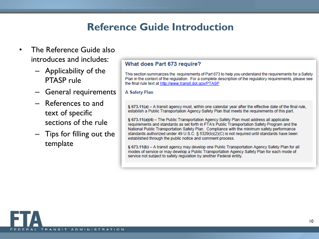## **Reference Guide Introduction**

- The Reference Guide also introduces and includes:
	- Applicability of the PTASP rule
	- General requirements
	- References to and text of specific sections of the rule
	- Tips for filling out the template

### What does Part 673 require?

This section summarizes the requirements of Part 673 to help you understand the requirements for a Safety Plan in the context of the regulation. For a complete description of the regulatory reguirements, please see the final rule text at http://www.transit.dot.gov/PTASP

#### **A Safety Plan**

§ 673.11(a) - A transit agency must, within one calendar year after the effective date of the final rule, establish a Public Transportation Agency Safety Plan that meets the requirements of this part.

§ 673.11(a)(4) - The Public Transportation Agency Safety Plan must address all applicable requirements and standards as set forth in FTA's Public Transportation Safety Program and the National Public Transportation Safety Plan. Compliance with the minimum safety performance standards authorized under 49 U.S.C. § 5329(b)(2)(C) is not required until standards have been established through the public notice and comment process.

§ 673.11(b) – A transit agency may develop one Public Transportation Agency Safety Plan for all modes of service or may develop a Public Transportation Agency Safety Plan for each mode of service not subject to safety regulation by another Federal entity.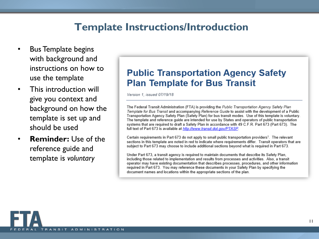### **Template Instructions/Introduction**

- Bus Template begins with background and instructions on how to use the template
- This introduction will give you context and background on how the template is set up and should be used
- **Reminder:** Use of the reference guide and template is *voluntary*

### **Public Transportation Agency Safety Plan Template for Bus Transit**

Version 1. issued 07/19/18

The Federal Transit Administration (FTA) is providing the Public Transportation Agency Safety Plan Template for Bus Transit and accompanying Reference Guide to assist with the development of a Public Transportation Agency Safety Plan (Safety Plan) for bus transit modes. Use of this template is voluntary. The template and reference guide are intended for use by States and operators of public transportation systems that are required to draft a Safety Plan in accordance with 49 C.F.R. Part 673 (Part 673). The full text of Part 673 is available at http://www.transit.dot.gov/PTASP.

Certain requirements in Part 673 do not apply to small public transportation providers<sup>1</sup>. The relevant sections in this template are noted in red to indicate where requirements differ. Transit operators that are subject to Part 673 may choose to include additional sections beyond what is required in Part 673.

Under Part 673, a transit agency is required to maintain documents that describe its Safety Plan, including those related to implementation and results from processes and activities. Also, a transit operator may have existing documentation that describes processes, procedures, and other information required in Part 673. You may reference these documents in your Safety Plan by specifying the document names and locations within the appropriate sections of the plan.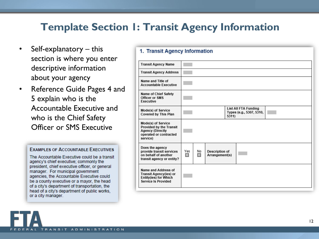## **Template Section 1: Transit Agency Information**

- Self-explanatory this section is where you enter descriptive information about your agency
- Reference Guide Pages 4 and 5 explain who is the Accountable Executive and who is the Chief Safety Officer or SMS Executive

### **EXAMPLES OF ACCOUNTABLE EXECUTIVES**

The Accountable Executive could be a transit agency's chief executive; commonly the president, chief executive officer, or general manager. For municipal government agencies, the Accountable Executive could be a county executive or a mayor, the head of a city's department of transportation, the head of a city's department of public works, or a city manager.

### 1. Transit Agency Information

| <b>Transit Agency Name</b>                                                                                     |          |         |                                  |                                                         |  |  |
|----------------------------------------------------------------------------------------------------------------|----------|---------|----------------------------------|---------------------------------------------------------|--|--|
| <b>Transit Agency Address</b>                                                                                  |          |         |                                  |                                                         |  |  |
| Name and Title of<br><b>Accountable Executive</b>                                                              |          |         |                                  |                                                         |  |  |
| <b>Name of Chief Safety</b><br><b>Officer or SMS</b><br>Executive                                              |          |         |                                  |                                                         |  |  |
| Mode(s) of Service<br><b>Covered by This Plan</b>                                                              |          |         | 5311)                            | <b>List All FTA Funding</b><br>Types (e.g., 5307, 5310, |  |  |
| Mode(s) of Service<br>Provided by the Transit<br><b>Agency (Directly</b><br>operated or contracted<br>service) |          |         |                                  |                                                         |  |  |
| Does the agency<br>provide transit services<br>on behalf of another<br>transit agency or entity?               | Yes<br>□ | No<br>□ | Description of<br>Arrangement(s) |                                                         |  |  |
| Name and Address of<br><b>Transit Agency(ies) or</b><br>Entity(ies) for Which<br>Service Is Provided           |          |         |                                  |                                                         |  |  |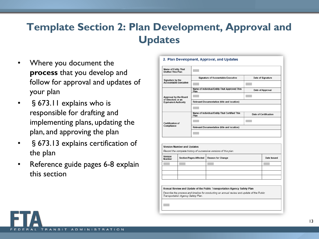# **Template Section 2: Plan Development, Approval and Updates**

- Where you document the **process** that you develop and follow for approval and updates of your plan
- § 673.11 explains who is responsible for drafting and implementing plans, updating the plan, and approving the plan
- § 673.13 explains certification of the plan
- Reference guide pages 6-8 explain this section

| Name of Entity That<br><b>Drafted This Plan</b>   |                                                       |                       |
|---------------------------------------------------|-------------------------------------------------------|-----------------------|
| Signature by the                                  | <b>Signature of Accountable Executive</b>             | Date of Signature     |
| <b>Accountable Executive</b>                      |                                                       |                       |
|                                                   | Name of Individual/Entity That Approved This<br>Plan  | Date of Approval      |
| Approval by the Board                             |                                                       |                       |
| of Directors or an<br><b>Equivalent Authority</b> | <b>Relevant Documentation (title and location)</b>    |                       |
|                                                   |                                                       |                       |
|                                                   | Name of Individual/Entity That Certified This<br>Plan | Date of Certification |
| Certification of                                  |                                                       |                       |
| Compliance                                        | <b>Relevant Documentation (title and location)</b>    |                       |
|                                                   |                                                       |                       |

#### Version Number and Updates

Record the complete history of successive versions of this plan.

2. Plan Development, Approval, and Updates

| Version<br>Number | <b>Section/Pages Affected</b> | <b>Reason for Change</b> | Date Issued |
|-------------------|-------------------------------|--------------------------|-------------|
|                   |                               |                          |             |
|                   |                               |                          |             |
|                   |                               |                          |             |
|                   |                               |                          |             |

Annual Review and Update of the Public Transportation Agency Safety Plan

Describe the process and timeline for conducting an annual review and update of the Public Transportation Agency Safety Plan.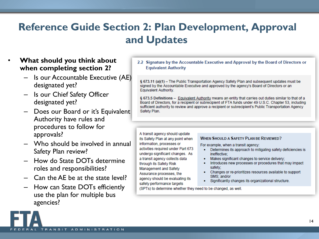# **Reference Guide Section 2: Plan Development, Approval and Updates**

### • **What should you think about when completing section 2?**

- Is our Accountable Executive (AE) designated yet?
- Is our Chief Safety Officer designated yet?
- Does our Board or it's Equivalent Authority have rules and procedures to follow for approvals?
- Who should be involved in annual Safety Plan review?
- How do State DOTs determine roles and responsibilities?
- Can the AE be at the state level?
- How can State DOTs efficiently use the plan for multiple bus agencies?

### 2.2 Signature by the Accountable Executive and Approval by the Board of Directors or **Equivalent Authority**

§ 673.11 (a)(1) - The Public Transportation Agency Safety Plan and subsequent updates must be signed by the Accountable Executive and approved by the agency's Board of Directors or an Equivalent Authority.

§ 673.5 Definitions - Equivalent Authority means an entity that carries out duties similar to that of a Board of Directors, for a recipient or subrecipient of FTA funds under 49 U.S.C. Chapter 53, including sufficient authority to review and approve a recipient or subrecipient's Public Transportation Agency Safety Plan.

A transit agency should update its Safety Plan at any point when information, processes or activities required under Part 673 undergo significant changes. As a transit agency collects data through its Safety Risk **Management and Safety** Assurance processes, the agency should be evaluating its safety performance targets

### **WHEN SHOULD A SAFETY PLAN BE REVIEWED?**

For example, when a transit agency:

- Determines its approach to mitigating safety deficiencies is ineffective:
- Makes significant changes to service delivery;
- Introduces new processes or procedures that may impact safety;
- Changes or re-prioritizes resources available to support SMS: and/or
- Significantly changes its organizational structure.

(SPTs) to determine whether they need to be changed, as well.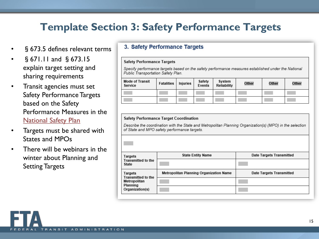## **Template Section 3: Safety Performance Targets**

- § 673.5 defines relevant terms
- §671.11 and §673.15 explain target setting and sharing requirements
- Transit agencies must set Safety Performance Targets based on the Safety Performance Measures in the **[National Safety Plan](https://www.transit.dot.gov/regulations-and-guidance/safety/national-public-transportation-safety-plan)**
- Targets must be shared with States and MPOs
- There will be webinars in the winter about Planning and Setting Targets

### 3. Safety Performance Targets

#### **Safety Performance Targets**

Specify performance targets based on the safety performance measures established under the National Public Transportation Safety Plan.

| <b>Mode of Transit</b><br>Service | <b>Fatalities</b> | Injuries | Safety<br>Events | System<br>Reliability | Other | Other | Other |
|-----------------------------------|-------------------|----------|------------------|-----------------------|-------|-------|-------|
|                                   |                   |          |                  |                       |       |       |       |
|                                   |                   |          |                  |                       |       |       |       |

#### **Safety Performance Target Coordination**

Describe the coordination with the State and Metropolitan Planning Organization(s) (MPO) in the selection of State and MPO safety performance targets.

| Targets                                                                             | <b>State Entity Name</b>                | <b>Date Targets Transmitted</b> |
|-------------------------------------------------------------------------------------|-----------------------------------------|---------------------------------|
| <b>Transmitted to the</b><br><b>State</b>                                           |                                         |                                 |
| Targets<br><b>Transmitted to the</b><br>Metropolitan<br>Planning<br>Organization(s) | Metropolitan Planning Organization Name | Date Targets Transmitted        |
|                                                                                     |                                         |                                 |
|                                                                                     |                                         |                                 |
|                                                                                     |                                         |                                 |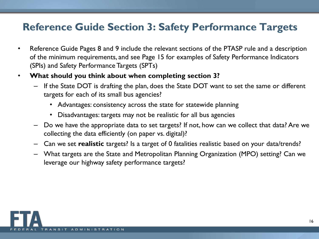## **Reference Guide Section 3: Safety Performance Targets**

- Reference Guide Pages 8 and 9 include the relevant sections of the PTASP rule and a description of the minimum requirements, and see Page 15 for examples of Safety Performance Indicators (SPIs) and Safety Performance Targets (SPTs)
- **What should you think about when completing section 3?**
	- If the State DOT is drafting the plan, does the State DOT want to set the same or different targets for each of its small bus agencies?
		- Advantages: consistency across the state for statewide planning
		- Disadvantages: targets may not be realistic for all bus agencies
	- Do we have the appropriate data to set targets? If not, how can we collect that data? Are we collecting the data efficiently (on paper vs. digital)?
	- Can we set **realistic** targets? Is a target of 0 fatalities realistic based on your data/trends?
	- What targets are the State and Metropolitan Planning Organization (MPO) setting? Can we leverage our highway safety performance targets?

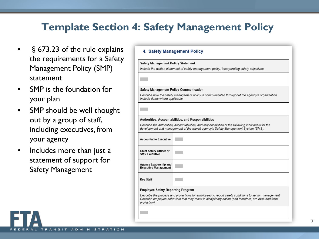## **Template Section 4: Safety Management Policy**

**Contract** 

- §673.23 of the rule explains the requirements for a Safety Management Policy (SMP) statement
- SMP is the foundation for your plan
- SMP should be well thought out by a group of staff, including executives, from your agency
- Includes more than just a statement of support for Safety Management

| 4. Safety Management Policy                          |                                                                                                                                                                                                              |  |  |  |  |
|------------------------------------------------------|--------------------------------------------------------------------------------------------------------------------------------------------------------------------------------------------------------------|--|--|--|--|
| <b>Safety Management Policy Statement</b>            |                                                                                                                                                                                                              |  |  |  |  |
|                                                      | Include the written statement of safety management policy, incorporating safety objectives.                                                                                                                  |  |  |  |  |
|                                                      |                                                                                                                                                                                                              |  |  |  |  |
| <b>Safety Management Policy Communication</b>        |                                                                                                                                                                                                              |  |  |  |  |
| Include dates where applicable.                      | Describe how the safety management policy is communicated throughout the agency's organization.                                                                                                              |  |  |  |  |
|                                                      |                                                                                                                                                                                                              |  |  |  |  |
|                                                      | Authorities, Accountabilities, and Responsibilities                                                                                                                                                          |  |  |  |  |
|                                                      | Describe the authorities, accountabilities, and responsibilities of the following individuals for the<br>development and management of the transit agency's Safety Management System (SMS).                  |  |  |  |  |
| <b>Accountable Executive</b>                         |                                                                                                                                                                                                              |  |  |  |  |
| Chief Safety Officer or<br><b>SMS Executive</b>      |                                                                                                                                                                                                              |  |  |  |  |
| Agency Leadership and<br><b>Executive Management</b> |                                                                                                                                                                                                              |  |  |  |  |
| <b>Key Staff</b>                                     |                                                                                                                                                                                                              |  |  |  |  |
| <b>Employee Safety Reporting Program</b>             |                                                                                                                                                                                                              |  |  |  |  |
| protection).                                         | Describe the process and protections for employees to report safety conditions to senior management.<br>Describe employee behaviors that may result in disciplinary action (and therefore, are excluded from |  |  |  |  |
|                                                      |                                                                                                                                                                                                              |  |  |  |  |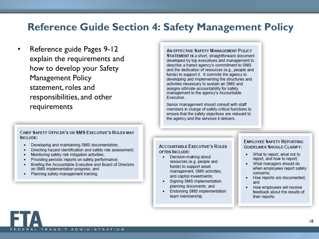### **Reference Guide Section 4: Safety Management Policy**

• Reference guide Pages 9-12 explain the requirements and how to develop your Safety Management Policy statement, roles and responsibilities, and other requirements

#### CHIEF SAFETY OFFICER'S OR SMS EXECUTIVE'S ROLES MAY INCLUDE:

- Developing and maintaining SMS documentation;
- Directing hazard identification and safety risk assessment;
- Monitoring safety risk mitigation activities;
- Providing periodic reports on safety performance;
- Briefing the Accountable Executive and Board of Directors on SMS implementation progress; and
- Planning safety management training.

AN EFFECTIVE SAFETY MANAGEMENT POLICY STATEMENT IS a short, straightforward document developed by top executives and management to describe a transit agency's commitment to SMS and the dedication of resources (e.g., people and funds) to support it. It commits the agency to developing and implementing the structures and activities necessary to sustain an SMS and assigns ultimate accountability for safety management to the agency's Accountable Executive.

Senior management should consult with staff members in charge of safety critical functions to ensure that the safety objectives are relevant to the agency and the services it delivers.

### **ACCOUNTABLE EXECUTIVE'S ROLES OFTEN INCLUDE:**

- Decision-making about resources (e.g. people and funds) to support asset management, SMS activities, and capital investments;
- Signing SMS implementation planning documents; and
- **Endorsing SMS implementation** team membership.

### **EMPLOYEE SAFETY REPORTING GUIDELINES SHOULD CLARIEY:**

- What to report, what not to report, and how to report;
- What managers should do when employees report safety concerns;
- How reports are documented; and
- How employees will receive feedback about the results of their reports.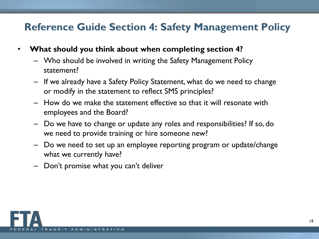## **Reference Guide Section 4: Safety Management Policy**

- **What should you think about when completing section 4?**
	- Who should be involved in writing the Safety Management Policy statement?
	- If we already have a Safety Policy Statement, what do we need to change or modify in the statement to reflect SMS principles?
	- How do we make the statement effective so that it will resonate with employees and the Board?
	- Do we have to change or update any roles and responsibilities? If so, do we need to provide training or hire someone new?
	- Do we need to set up an employee reporting program or update/change what we currently have?
	- Don't promise what you can't deliver

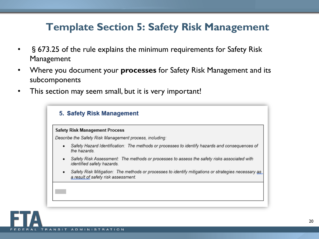## **Template Section 5: Safety Risk Management**

- §673.25 of the rule explains the minimum requirements for Safety Risk Management
- Where you document your **processes** for Safety Risk Management and its subcomponents
- This section may seem small, but it is very important!

| 5. Safety Risk Management |                                                                                                                                            |  |  |  |  |
|---------------------------|--------------------------------------------------------------------------------------------------------------------------------------------|--|--|--|--|
|                           | <b>Safety Risk Management Process</b>                                                                                                      |  |  |  |  |
|                           | Describe the Safety Risk Management process, including:                                                                                    |  |  |  |  |
| ٠                         | Safety Hazard Identification: The methods or processes to identify hazards and consequences of<br>the hazards                              |  |  |  |  |
| ٠                         | Safety Risk Assessment: The methods or processes to assess the safety risks associated with<br>identified safety hazards.                  |  |  |  |  |
| ٠                         | Safety Risk Mitigation: The methods or processes to identify mitigations or strategies necessary as<br>a result of safety risk assessment. |  |  |  |  |
|                           |                                                                                                                                            |  |  |  |  |
|                           |                                                                                                                                            |  |  |  |  |
|                           |                                                                                                                                            |  |  |  |  |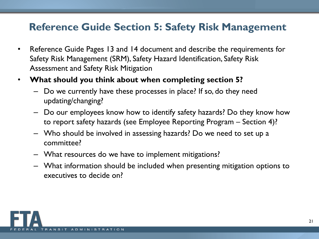## **Reference Guide Section 5: Safety Risk Management**

- Reference Guide Pages 13 and 14 document and describe the requirements for Safety Risk Management (SRM), Safety Hazard Identification, Safety Risk Assessment and Safety Risk Mitigation
- **What should you think about when completing section 5?**
	- Do we currently have these processes in place? If so, do they need updating/changing?
	- Do our employees know how to identify safety hazards? Do they know how to report safety hazards (see Employee Reporting Program – Section 4)?
	- Who should be involved in assessing hazards? Do we need to set up a committee?
	- What resources do we have to implement mitigations?
	- What information should be included when presenting mitigation options to executives to decide on?

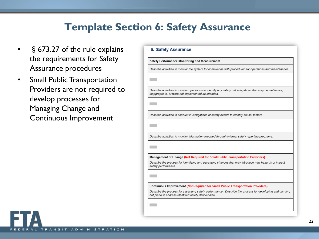## **Template Section 6: Safety Assurance**

- §673.27 of the rule explains the requirements for Safety Assurance procedures
- Small Public Transportation Providers are not required to develop processes for Managing Change and Continuous Improvement

|                     | Safety Performance Monitoring and Measurement                                                                                                                     |
|---------------------|-------------------------------------------------------------------------------------------------------------------------------------------------------------------|
|                     | Describe activities to monitor the system for compliance with procedures for operations and maintenance.                                                          |
|                     |                                                                                                                                                                   |
|                     | Describe activities to monitor operations to identify any safety risk mitigations that may be ineffective,<br>inappropriate, or were not implemented as intended. |
|                     |                                                                                                                                                                   |
|                     | Describe activities to conduct investigations of safety events to identify causal factors.                                                                        |
|                     |                                                                                                                                                                   |
|                     |                                                                                                                                                                   |
|                     | Describe activities to monitor information reported through internal safety reporting programs.                                                                   |
|                     |                                                                                                                                                                   |
|                     |                                                                                                                                                                   |
|                     | Management of Change (Not Required for Small Public Transportation Providers)                                                                                     |
| safety performance. | Describe the process for identifying and assessing changes that may introduce new hazards or impact                                                               |
|                     |                                                                                                                                                                   |
|                     |                                                                                                                                                                   |
|                     | <b>Continuous Improvement (Not Required for Small Public Transportation Providers)</b>                                                                            |
|                     | Describe the process for assessing safety performance. Describe the process for developing and carrying                                                           |
|                     | out plans to address identified safety deficiencies.                                                                                                              |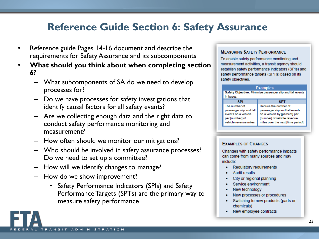## **Reference Guide Section 6: Safety Assurance**

- Reference guide Pages 14-16 document and describe the requirements for Safety Assurance and its subcomponents
- **What should you think about when completing section 6?**
	- What subcomponents of SA do we need to develop processes for?
	- Do we have processes for safety investigations that identify causal factors for all safety events?
	- Are we collecting enough data and the right data to conduct safety performance monitoring and measurement?
	- How often should we monitor our mitigations?
	- Who should be involved in safety assurance processes? Do we need to set up a committee?
	- How will we identify changes to manage?
	- How do we show improvement?
		- Safety Performance Indicators (SPIs) and Safety Performance Targets (SPTs) are the primary way to measure safety performance

### **MEASURING SAFETY PERFORMANCE**

To enable safety performance monitoring and measurement activities, a transit agency should establish safety performance indicators (SPIs) and safety performance targets (SPTs) based on its safety objectives.

#### **Examples** Safety Objective: Minimize passenger slip and fall events in buses. **SPI SPT** Reduce the number of The number of passenger slip and fall passenger slip and fall events events on a vehicle on a vehicle by [percent] per per [number] of [number] of vehicle revenue miles over the next [time period]. vehicle revenue miles.

### **EXAMPLES OF CHANGES**

Changes with safety performance impacts can come from many sources and may include:

- Regulatory requirements
- **Audit results**
- City or regional planning
- Service environment
- New technology
- New processes or procedures
- Switching to new products (parts or chemicals)
- New employee contracts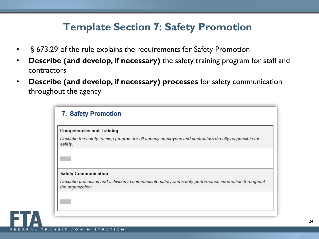## **Template Section 7: Safety Promotion**

- §673.29 of the rule explains the requirements for Safety Promotion
- **Describe (and develop, if necessary)** the safety training program for staff and contractors
- **Describe (and develop, if necessary) processes** for safety communication throughout the agency

|                             | <b>Competencies and Training</b>                                                                       |
|-----------------------------|--------------------------------------------------------------------------------------------------------|
| safety.                     | Describe the safety training program for all agency employees and contractors directly responsible for |
|                             |                                                                                                        |
| <b>Safety Communication</b> |                                                                                                        |
| the organization.           | Describe processes and activities to communicate safety and safety performance information throughout  |
|                             |                                                                                                        |
|                             |                                                                                                        |
|                             |                                                                                                        |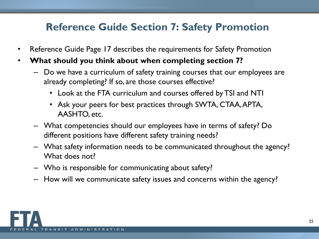## **Reference Guide Section 7: Safety Promotion**

- Reference Guide Page 17 describes the requirements for Safety Promotion
- **What should you think about when completing section 7?**
	- Do we have a curriculum of safety training courses that our employees are already completing? If so, are those courses effective?
		- Look at the FTA curriculum and courses offered by TSI and NTI
		- Ask your peers for best practices through SWTA, CTAA, APTA, AASHTO, etc.
	- What competencies should our employees have in terms of safety? Do different positions have different safety training needs?
	- What safety information needs to be communicated throughout the agency? What does not?
	- Who is responsible for communicating about safety?
	- How will we communicate safety issues and concerns within the agency?

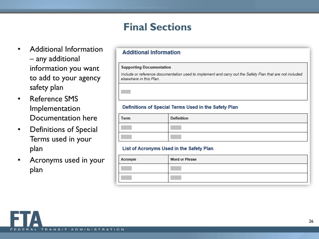## **Final Sections**

- Additional Information – any additional information you want to add to your agency safety plan
- Reference SMS Implementation Documentation here
- Definitions of Special Terms used in your plan
- Acronyms used in your plan

### **Additional Information**

#### **Supporting Documentation**

Include or reference documentation used to implement and carry out the Safety Plan that are not included elsewhere in this Plan.

### Definitions of Special Terms Used in the Safety Plan

| Term | Definition |
|------|------------|
|      |            |
|      |            |

### List of Acronyms Used in the Safety Plan

| Acronym | <b>Word or Phrase</b> |
|---------|-----------------------|
|         |                       |
|         |                       |

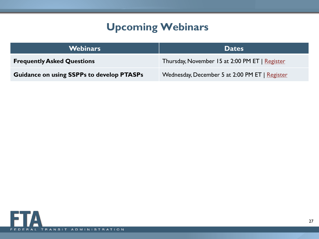# **Upcoming Webinars**

| <b>Webinars</b>                                  | <b>Dates</b>                                   |
|--------------------------------------------------|------------------------------------------------|
| <b>Frequently Asked Questions</b>                | Thursday, November 15 at 2:00 PM ET   Register |
| <b>Guidance on using SSPPs to develop PTASPs</b> | Wednesday, December 5 at 2:00 PM ET   Register |